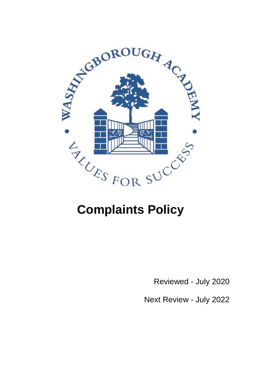

Reviewed - July 2020

Next Review - July 2022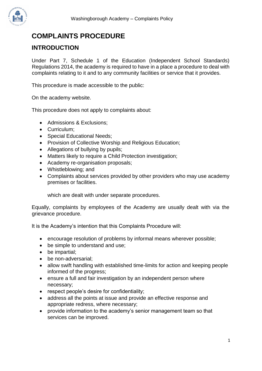

# **COMPLAINTS PROCEDURE**

#### **INTRODUCTION**

Under Part 7, Schedule 1 of the Education (Independent School Standards) Regulations 2014, the academy is required to have in a place a procedure to deal with complaints relating to it and to any community facilities or service that it provides.

This procedure is made accessible to the public:

On the academy website.

This procedure does not apply to complaints about:

- Admissions & Exclusions;
- Curriculum;
- Special Educational Needs;
- Provision of Collective Worship and Religious Education;
- Allegations of bullying by pupils;
- Matters likely to require a Child Protection investigation;
- Academy re-organisation proposals;
- Whistleblowing; and
- Complaints about services provided by other providers who may use academy premises or facilities.

which are dealt with under separate procedures.

Equally, complaints by employees of the Academy are usually dealt with via the grievance procedure.

It is the Academy's intention that this Complaints Procedure will:

- encourage resolution of problems by informal means wherever possible;
- be simple to understand and use;
- be impartial;
- be non-adversarial;
- allow swift handling with established time-limits for action and keeping people informed of the progress;
- ensure a full and fair investigation by an independent person where necessary;
- respect people's desire for confidentiality;
- address all the points at issue and provide an effective response and appropriate redress, where necessary;
- provide information to the academy's senior management team so that services can be improved.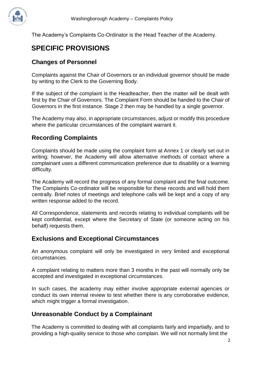

The Academy's Complaints Co-Ordinator is the Head Teacher of the Academy.

## **SPECIFIC PROVISIONS**

#### **Changes of Personnel**

Complaints against the Chair of Governors or an individual governor should be made by writing to the Clerk to the Governing Body.

If the subject of the complaint is the Headteacher, then the matter will be dealt with first by the Chair of Governors. The Complaint Form should be handed to the Chair of Governors in the first instance. Stage 2 then may be handled by a single governor.

The Academy may also, in appropriate circumstances, adjust or modify this procedure where the particular circumstances of the complaint warrant it.

#### **Recording Complaints**

Complaints should be made using the complaint form at Annex 1 or clearly set out in writing; however, the Academy will allow alternative methods of contact where a complainant uses a different communication preference due to disability or a learning difficulty.

The Academy will record the progress of any formal complaint and the final outcome. The Complaints Co-ordinator will be responsible for these records and will hold them centrally. Brief notes of meetings and telephone calls will be kept and a copy of any written response added to the record.

All Correspondence, statements and records relating to individual complaints will be kept confidential, except where the Secretary of State (or someone acting on his behalf) requests them.

#### **Exclusions and Exceptional Circumstances**

An anonymous complaint will only be investigated in very limited and exceptional circumstances.

A complaint relating to matters more than 3 months in the past will normally only be accepted and investigated in exceptional circumstances.

In such cases, the academy may either involve appropriate external agencies or conduct its own internal review to test whether there is any corroborative evidence, which might trigger a formal investigation.

#### **Unreasonable Conduct by a Complainant**

The Academy is committed to dealing with all complaints fairly and impartially, and to providing a high-quality service to those who complain. We will not normally limit the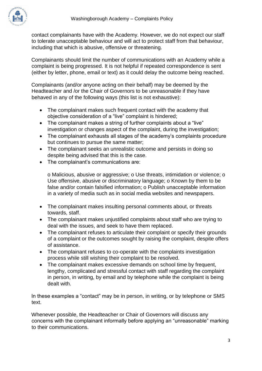

contact complainants have with the Academy. However, we do not expect our staff to tolerate unacceptable behaviour and will act to protect staff from that behaviour, including that which is abusive, offensive or threatening.

Complainants should limit the number of communications with an Academy while a complaint is being progressed. It is not helpful if repeated correspondence is sent (either by letter, phone, email or text) as it could delay the outcome being reached.

Complainants (and/or anyone acting on their behalf) may be deemed by the Headteacher and /or the Chair of Governors to be unreasonable if they have behaved in any of the following ways (this list is not exhaustive):

- The complainant makes such frequent contact with the academy that objective consideration of a "live" complaint is hindered;
- The complainant makes a string of further complaints about a "live" investigation or changes aspect of the complaint, during the investigation;
- The complainant exhausts all stages of the academy's complaints procedure but continues to pursue the same matter;
- The complainant seeks an unrealistic outcome and persists in doing so despite being advised that this is the case.
- The complainant's communications are:

o Malicious, abusive or aggressive; o Use threats, intimidation or violence; o Use offensive, abusive or discriminatory language; o Known by them to be false and/or contain falsified information; o Publish unacceptable information in a variety of media such as in social media websites and newspapers.

- The complainant makes insulting personal comments about, or threats towards, staff.
- The complainant makes unjustified complaints about staff who are trying to deal with the issues, and seek to have them replaced.
- The complainant refuses to articulate their complaint or specify their grounds of a complaint or the outcomes sought by raising the complaint, despite offers of assistance.
- The complainant refuses to co-operate with the complaints investigation process while still wishing their complaint to be resolved.
- The complainant makes excessive demands on school time by frequent, lengthy, complicated and stressful contact with staff regarding the complaint in person, in writing, by email and by telephone while the complaint is being dealt with.

In these examples a "contact" may be in person, in writing, or by telephone or SMS text

Whenever possible, the Headteacher or Chair of Governors will discuss any concerns with the complainant informally before applying an "unreasonable" marking to their communications.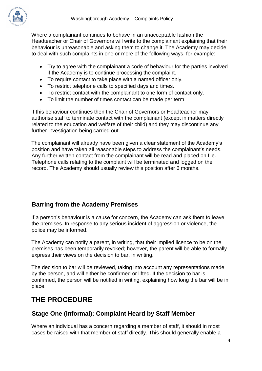

Where a complainant continues to behave in an unacceptable fashion the Headteacher or Chair of Governors will write to the complainant explaining that their behaviour is unreasonable and asking them to change it. The Academy may decide to deal with such complaints in one or more of the following ways, for example:

- Try to agree with the complainant a code of behaviour for the parties involved if the Academy is to continue processing the complaint.
- To require contact to take place with a named officer only.
- To restrict telephone calls to specified days and times.
- To restrict contact with the complainant to one form of contact only.
- To limit the number of times contact can be made per term.

If this behaviour continues then the Chair of Governors or Headteacher may authorise staff to terminate contact with the complainant (except in matters directly related to the education and welfare of their child) and they may discontinue any further investigation being carried out.

The complainant will already have been given a clear statement of the Academy's position and have taken all reasonable steps to address the complainant's needs. Any further written contact from the complainant will be read and placed on file. Telephone calls relating to the complaint will be terminated and logged on the record. The Academy should usually review this position after 6 months.

### **Barring from the Academy Premises**

If a person's behaviour is a cause for concern, the Academy can ask them to leave the premises. In response to any serious incident of aggression or violence, the police may be informed.

The Academy can notify a parent, in writing, that their implied licence to be on the premises has been temporarily revoked; however, the parent will be able to formally express their views on the decision to bar, in writing.

The decision to bar will be reviewed, taking into account any representations made by the person, and will either be confirmed or lifted. If the decision to bar is confirmed, the person will be notified in writing, explaining how long the bar will be in place.

## **THE PROCEDURE**

#### **Stage One (informal): Complaint Heard by Staff Member**

Where an individual has a concern regarding a member of staff, it should in most cases be raised with that member of staff directly. This should generally enable a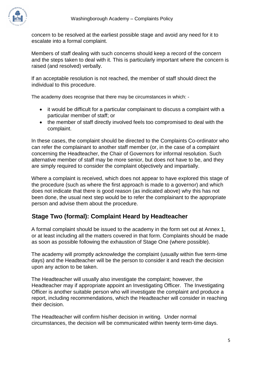

concern to be resolved at the earliest possible stage and avoid any need for it to escalate into a formal complaint.

Members of staff dealing with such concerns should keep a record of the concern and the steps taken to deal with it. This is particularly important where the concern is raised (and resolved) verbally.

If an acceptable resolution is not reached, the member of staff should direct the individual to this procedure.

The academy does recognise that there may be circumstances in which: -

- it would be difficult for a particular complainant to discuss a complaint with a particular member of staff; or
- the member of staff directly involved feels too compromised to deal with the complaint.

In these cases, the complaint should be directed to the Complaints Co-ordinator who can refer the complainant to another staff member (or, in the case of a complaint concerning the Headteacher, the Chair of Governors for informal resolution. Such alternative member of staff may be more senior, but does not have to be, and they are simply required to consider the complaint objectively and impartially.

Where a complaint is received, which does not appear to have explored this stage of the procedure (such as where the first approach is made to a governor) and which does not indicate that there is good reason (as indicated above) why this has not been done, the usual next step would be to refer the complainant to the appropriate person and advise them about the procedure.

### **Stage Two (formal): Complaint Heard by Headteacher**

A formal complaint should be issued to the academy in the form set out at Annex 1, or at least including all the matters covered in that form. Complaints should be made as soon as possible following the exhaustion of Stage One (where possible).

The academy will promptly acknowledge the complaint (usually within five term-time days) and the Headteacher will be the person to consider it and reach the decision upon any action to be taken.

The Headteacher will usually also investigate the complaint; however, the Headteacher may if appropriate appoint an Investigating Officer. The Investigating Officer is another suitable person who will investigate the complaint and produce a report, including recommendations, which the Headteacher will consider in reaching their decision.

The Headteacher will confirm his/her decision in writing. Under normal circumstances, the decision will be communicated within twenty term-time days.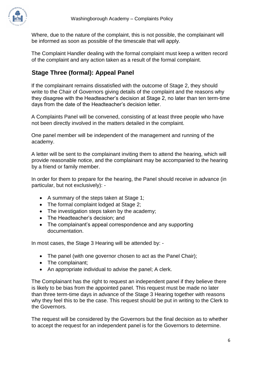

Where, due to the nature of the complaint, this is not possible, the complainant will be informed as soon as possible of the timescale that will apply.

The Complaint Handler dealing with the formal complaint must keep a written record of the complaint and any action taken as a result of the formal complaint.

## **Stage Three (formal): Appeal Panel**

If the complainant remains dissatisfied with the outcome of Stage 2, they should write to the Chair of Governors giving details of the complaint and the reasons why they disagree with the Headteacher's decision at Stage 2, no later than ten term-time days from the date of the Headteacher's decision letter.

A Complaints Panel will be convened, consisting of at least three people who have not been directly involved in the matters detailed in the complaint.

One panel member will be independent of the management and running of the academy.

A letter will be sent to the complainant inviting them to attend the hearing, which will provide reasonable notice, and the complainant may be accompanied to the hearing by a friend or family member.

In order for them to prepare for the hearing, the Panel should receive in advance (in particular, but not exclusively): -

- A summary of the steps taken at Stage 1;
- The formal complaint lodged at Stage 2;
- The investigation steps taken by the academy;
- The Headteacher's decision; and
- The complainant's appeal correspondence and any supporting documentation.

In most cases, the Stage 3 Hearing will be attended by: -

- The panel (with one governor chosen to act as the Panel Chair);
- The complainant;
- An appropriate individual to advise the panel; A clerk.

The Complainant has the right to request an independent panel if they believe there is likely to be bias from the appointed panel. This request must be made no later than three term-time days in advance of the Stage 3 Hearing together with reasons why they feel this to be the case. This request should be put in writing to the Clerk to the Governors.

The request will be considered by the Governors but the final decision as to whether to accept the request for an independent panel is for the Governors to determine.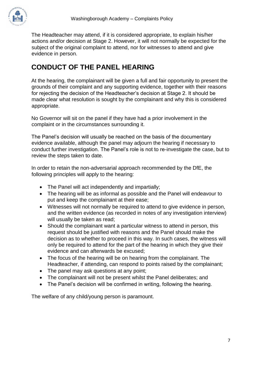

The Headteacher may attend, if it is considered appropriate, to explain his/her actions and/or decision at Stage 2. However, it will not normally be expected for the subject of the original complaint to attend, nor for witnesses to attend and give evidence in person.

# **CONDUCT OF THE PANEL HEARING**

At the hearing, the complainant will be given a full and fair opportunity to present the grounds of their complaint and any supporting evidence, together with their reasons for rejecting the decision of the Headteacher's decision at Stage 2. It should be made clear what resolution is sought by the complainant and why this is considered appropriate.

No Governor will sit on the panel if they have had a prior involvement in the complaint or in the circumstances surrounding it.

The Panel's decision will usually be reached on the basis of the documentary evidence available, although the panel may adjourn the hearing if necessary to conduct further investigation. The Panel's role is not to re-investigate the case, but to review the steps taken to date.

In order to retain the non-adversarial approach recommended by the DfE, the following principles will apply to the hearing:

- The Panel will act independently and impartially;
- The hearing will be as informal as possible and the Panel will endeavour to put and keep the complainant at their ease;
- Witnesses will not normally be required to attend to give evidence in person, and the written evidence (as recorded in notes of any investigation interview) will usually be taken as read;
- Should the complainant want a particular witness to attend in person, this request should be justified with reasons and the Panel should make the decision as to whether to proceed in this way. In such cases, the witness will only be required to attend for the part of the hearing in which they give their evidence and can afterwards be excused;
- The focus of the hearing will be on hearing from the complainant. The Headteacher, if attending, can respond to points raised by the complainant;
- The panel may ask questions at any point;
- The complainant will not be present whilst the Panel deliberates; and
- The Panel's decision will be confirmed in writing, following the hearing.

The welfare of any child/young person is paramount.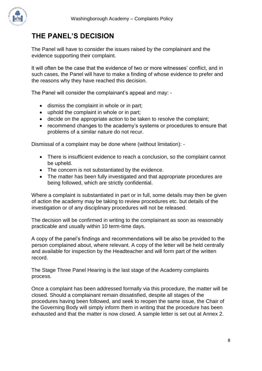# **THE PANEL'S DECISION**

The Panel will have to consider the issues raised by the complainant and the evidence supporting their complaint.

It will often be the case that the evidence of two or more witnesses' conflict, and in such cases, the Panel will have to make a finding of whose evidence to prefer and the reasons why they have reached this decision.

The Panel will consider the complainant's appeal and may: -

- dismiss the complaint in whole or in part;
- uphold the complaint in whole or in part;
- decide on the appropriate action to be taken to resolve the complaint;
- recommend changes to the academy's systems or procedures to ensure that problems of a similar nature do not recur.

Dismissal of a complaint may be done where (without limitation): -

- There is insufficient evidence to reach a conclusion, so the complaint cannot be upheld.
- The concern is not substantiated by the evidence.
- The matter has been fully investigated and that appropriate procedures are being followed, which are strictly confidential.

Where a complaint is substantiated in part or in full, some details may then be given of action the academy may be taking to review procedures etc. but details of the investigation or of any disciplinary procedures will not be released.

The decision will be confirmed in writing to the complainant as soon as reasonably practicable and usually within 10 term-time days.

A copy of the panel's findings and recommendations will be also be provided to the person complained about, where relevant. A copy of the letter will be held centrally and available for inspection by the Headteacher and will form part of the written record.

The Stage Three Panel Hearing is the last stage of the Academy complaints process.

Once a complaint has been addressed formally via this procedure, the matter will be closed. Should a complainant remain dissatisfied, despite all stages of the procedures having been followed, and seek to reopen the same issue, the Chair of the Governing Body will simply inform them in writing that the procedure has been exhausted and that the matter is now closed. A sample letter is set out at Annex 2.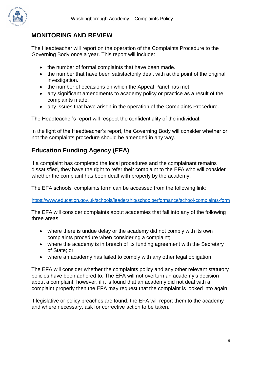

#### **MONITORING AND REVIEW**

The Headteacher will report on the operation of the Complaints Procedure to the Governing Body once a year. This report will include:

- the number of formal complaints that have been made.
- the number that have been satisfactorily dealt with at the point of the original investigation.
- the number of occasions on which the Appeal Panel has met.
- any significant amendments to academy policy or practice as a result of the complaints made.
- any issues that have arisen in the operation of the Complaints Procedure.

The Headteacher's report will respect the confidentiality of the individual.

In the light of the Headteacher's report, the Governing Body will consider whether or not the complaints procedure should be amended in any way.

### **Education Funding Agency (EFA)**

If a complaint has completed the local procedures and the complainant remains dissatisfied, they have the right to refer their complaint to the EFA who will consider whether the complaint has been dealt with properly by the academy.

The EFA schools' complaints form can be accessed from the following link:

<https://www.education.gov.uk/schools/leadership/schoolperformance/school-complaints-form>

The EFA will consider complaints about academies that fall into any of the following three areas:

- where there is undue delay or the academy did not comply with its own complaints procedure when considering a complaint;
- where the academy is in breach of its funding agreement with the Secretary of State; or
- where an academy has failed to comply with any other legal obligation.

The EFA will consider whether the complaints policy and any other relevant statutory policies have been adhered to. The EFA will not overturn an academy's decision about a complaint; however, if it is found that an academy did not deal with a complaint properly then the EFA may request that the complaint is looked into again.

If legislative or policy breaches are found, the EFA will report them to the academy and where necessary, ask for corrective action to be taken.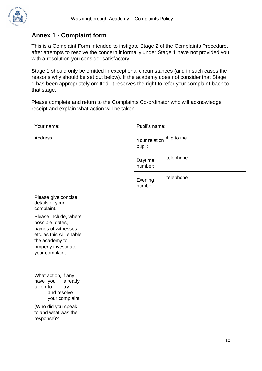

#### **Annex 1 - Complaint form**

This is a Complaint Form intended to instigate Stage 2 of the Complaints Procedure, after attempts to resolve the concern informally under Stage 1 have not provided you with a resolution you consider satisfactory.

Stage 1 should only be omitted in exceptional circumstances (and in such cases the reasons why should be set out below). If the academy does not consider that Stage 1 has been appropriately omitted, it reserves the right to refer your complaint back to that stage.

Please complete and return to the Complaints Co-ordinator who will acknowledge receipt and explain what action will be taken.

| Your name:                                                                                                                                                | Pupil's name:           |            |  |
|-----------------------------------------------------------------------------------------------------------------------------------------------------------|-------------------------|------------|--|
| Address:                                                                                                                                                  | Your relation<br>pupil: | hip to the |  |
|                                                                                                                                                           | Daytime<br>number:      | telephone  |  |
|                                                                                                                                                           | Evening<br>number:      | telephone  |  |
| Please give concise<br>details of your<br>complaint.                                                                                                      |                         |            |  |
| Please include, where<br>possible, dates,<br>names of witnesses,<br>etc. as this will enable<br>the academy to<br>properly investigate<br>your complaint. |                         |            |  |
| What action, if any,<br>have you<br>already<br>taken to<br>try<br>and resolve<br>your complaint.                                                          |                         |            |  |
| (Who did you speak<br>to and what was the<br>response)?                                                                                                   |                         |            |  |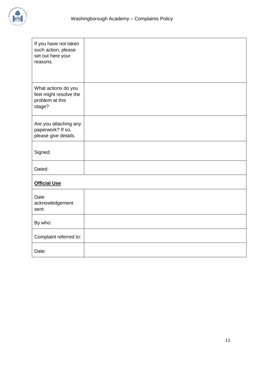

| If you have not taken<br>such action, please<br>set out here your<br>reasons. |  |
|-------------------------------------------------------------------------------|--|
| What actions do you<br>feel might resolve the<br>problem at this<br>stage?    |  |
| Are you attaching any<br>paperwork? If so,<br>please give details.            |  |
| Signed:                                                                       |  |
| Dated:                                                                        |  |
| <b>Official Use</b>                                                           |  |
| Date<br>acknowledgement<br>sent:                                              |  |
| By who:                                                                       |  |
| Complaint referred to:                                                        |  |
| Date:                                                                         |  |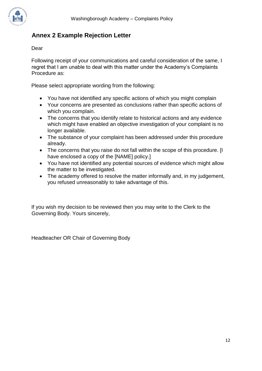

## **Annex 2 Example Rejection Letter**

Dear

Following receipt of your communications and careful consideration of the same, I regret that I am unable to deal with this matter under the Academy's Complaints Procedure as:

Please select appropriate wording from the following:

- You have not identified any specific actions of which you might complain
- Your concerns are presented as conclusions rather than specific actions of which you complain.
- The concerns that you identify relate to historical actions and any evidence which might have enabled an objective investigation of your complaint is no longer available.
- The substance of your complaint has been addressed under this procedure already.
- The concerns that you raise do not fall within the scope of this procedure. [I have enclosed a copy of the [NAME] policy.]
- You have not identified any potential sources of evidence which might allow the matter to be investigated.
- The academy offered to resolve the matter informally and, in my judgement, you refused unreasonably to take advantage of this.

If you wish my decision to be reviewed then you may write to the Clerk to the Governing Body. Yours sincerely,

Headteacher OR Chair of Governing Body